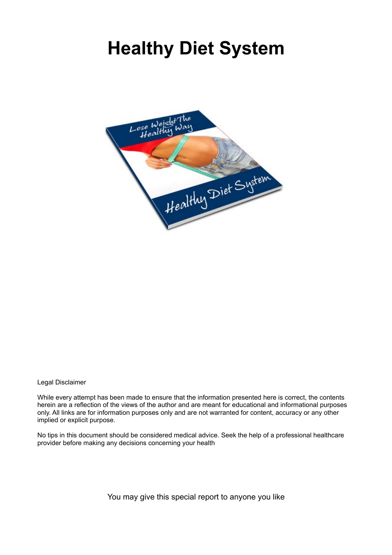# **Healthy Diet System**



Legal Disclaimer

While every attempt has been made to ensure that the information presented here is correct, the contents herein are a reflection of the views of the author and are meant for educational and informational purposes only. All links are for information purposes only and are not warranted for content, accuracy or any other implied or explicit purpose.

No tips in this document should be considered medical advice. Seek the help of a professional healthcare provider before making any decisions concerning your health

You may give this special report to anyone you like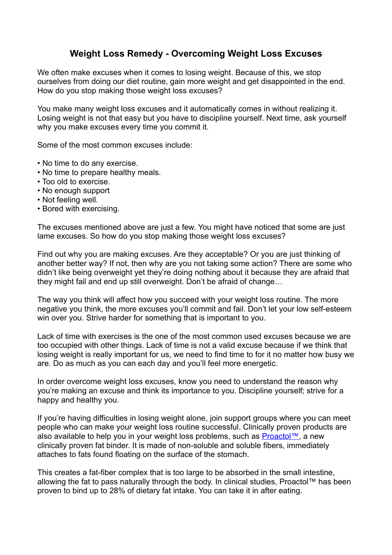## **Weight Loss Remedy - Overcoming Weight Loss Excuses**

We often make excuses when it comes to losing weight. Because of this, we stop ourselves from doing our diet routine, gain more weight and get disappointed in the end. How do you stop making those weight loss excuses?

You make many weight loss excuses and it automatically comes in without realizing it. Losing weight is not that easy but you have to discipline yourself. Next time, ask yourself why you make excuses every time you commit it.

Some of the most common excuses include:

- No time to do any exercise.
- No time to prepare healthy meals.
- Too old to exercise.
- No enough support
- Not feeling well.
- Bored with exercising.

The excuses mentioned above are just a few. You might have noticed that some are just lame excuses. So how do you stop making those weight loss excuses?

Find out why you are making excuses. Are they acceptable? Or you are just thinking of another better way? If not, then why are you not taking some action? There are some who didn't like being overweight yet they're doing nothing about it because they are afraid that they might fail and end up still overweight. Don't be afraid of change…

The way you think will affect how you succeed with your weight loss routine. The more negative you think, the more excuses you'll commit and fail. Don't let your low self-esteem win over you. Strive harder for something that is important to you.

Lack of time with exercises is the one of the most common used excuses because we are too occupied with other things. Lack of time is not a valid excuse because if we think that losing weight is really important for us, we need to find time to for it no matter how busy we are. Do as much as you can each day and you'll feel more energetic.

In order overcome weight loss excuses, know you need to understand the reason why you're making an excuse and think its importance to you. Discipline yourself; strive for a happy and healthy you.

If you're having difficulties in losing weight alone, join support groups where you can meet people who can make your weight loss routine successful. Clinically proven products are also available to help you in your weight loss problems, such as [Proactol™,](http://track.lativio.com/hit.php?w=107368&p=2&s=38&competition=8&campaign=vb) a new clinically proven fat binder. It is made of non-soluble and soluble fibers, immediately attaches to fats found floating on the surface of the stomach.

This creates a fat-fiber complex that is too large to be absorbed in the small intestine, allowing the fat to pass naturally through the body. In clinical studies, Proactol™ has been proven to bind up to 28% of dietary fat intake. You can take it in after eating.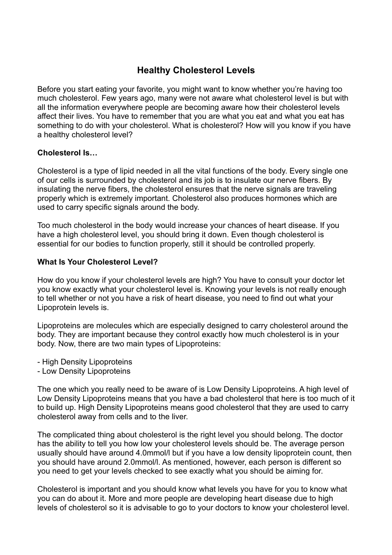## **Healthy Cholesterol Levels**

Before you start eating your favorite, you might want to know whether you're having too much cholesterol. Few years ago, many were not aware what cholesterol level is but with all the information everywhere people are becoming aware how their cholesterol levels affect their lives. You have to remember that you are what you eat and what you eat has something to do with your cholesterol. What is cholesterol? How will you know if you have a healthy cholesterol level?

#### **Cholesterol Is…**

Cholesterol is a type of lipid needed in all the vital functions of the body. Every single one of our cells is surrounded by cholesterol and its job is to insulate our nerve fibers. By insulating the nerve fibers, the cholesterol ensures that the nerve signals are traveling properly which is extremely important. Cholesterol also produces hormones which are used to carry specific signals around the body.

Too much cholesterol in the body would increase your chances of heart disease. If you have a high cholesterol level, you should bring it down. Even though cholesterol is essential for our bodies to function properly, still it should be controlled properly.

#### **What Is Your Cholesterol Level?**

How do you know if your cholesterol levels are high? You have to consult your doctor let you know exactly what your cholesterol level is. Knowing your levels is not really enough to tell whether or not you have a risk of heart disease, you need to find out what your Lipoprotein levels is.

Lipoproteins are molecules which are especially designed to carry cholesterol around the body. They are important because they control exactly how much cholesterol is in your body. Now, there are two main types of Lipoproteins:

- High Density Lipoproteins
- Low Density Lipoproteins

The one which you really need to be aware of is Low Density Lipoproteins. A high level of Low Density Lipoproteins means that you have a bad cholesterol that here is too much of it to build up. High Density Lipoproteins means good cholesterol that they are used to carry cholesterol away from cells and to the liver.

The complicated thing about cholesterol is the right level you should belong. The doctor has the ability to tell you how low your cholesterol levels should be. The average person usually should have around 4.0mmol/l but if you have a low density lipoprotein count, then you should have around 2.0mmol/l. As mentioned, however, each person is different so you need to get your levels checked to see exactly what you should be aiming for.

Cholesterol is important and you should know what levels you have for you to know what you can do about it. More and more people are developing heart disease due to high levels of cholesterol so it is advisable to go to your doctors to know your cholesterol level.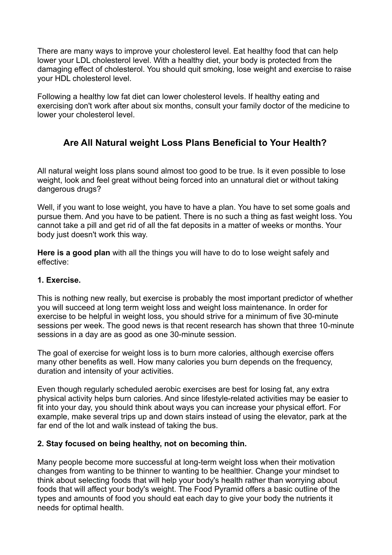There are many ways to improve your cholesterol level. Eat healthy food that can help lower your LDL cholesterol level. With a healthy diet, your body is protected from the damaging effect of cholesterol. You should quit smoking, lose weight and exercise to raise your HDL cholesterol level.

Following a healthy low fat diet can lower cholesterol levels. If healthy eating and exercising don't work after about six months, consult your family doctor of the medicine to lower your cholesterol level.

# **Are All Natural weight Loss Plans Beneficial to Your Health?**

All natural weight loss plans sound almost too good to be true. Is it even possible to lose weight, look and feel great without being forced into an unnatural diet or without taking dangerous drugs?

Well, if you want to lose weight, you have to have a plan. You have to set some goals and pursue them. And you have to be patient. There is no such a thing as fast weight loss. You cannot take a pill and get rid of all the fat deposits in a matter of weeks or months. Your body just doesn't work this way.

**Here is a good plan** with all the things you will have to do to lose weight safely and effective:

### **1. Exercise.**

This is nothing new really, but exercise is probably the most important predictor of whether you will succeed at long term weight loss and weight loss maintenance. In order for exercise to be helpful in weight loss, you should strive for a minimum of five 30-minute sessions per week. The good news is that recent research has shown that three 10-minute sessions in a day are as good as one 30-minute session.

The goal of exercise for weight loss is to burn more calories, although exercise offers many other benefits as well. How many calories you burn depends on the frequency, duration and intensity of your activities.

Even though regularly scheduled aerobic exercises are best for losing fat, any extra physical activity helps burn calories. And since lifestyle-related activities may be easier to fit into your day, you should think about ways you can increase your physical effort. For example, make several trips up and down stairs instead of using the elevator, park at the far end of the lot and walk instead of taking the bus.

## **2. Stay focused on being healthy, not on becoming thin.**

Many people become more successful at long-term weight loss when their motivation changes from wanting to be thinner to wanting to be healthier. Change your mindset to think about selecting foods that will help your body's health rather than worrying about foods that will affect your body's weight. The Food Pyramid offers a basic outline of the types and amounts of food you should eat each day to give your body the nutrients it needs for optimal health.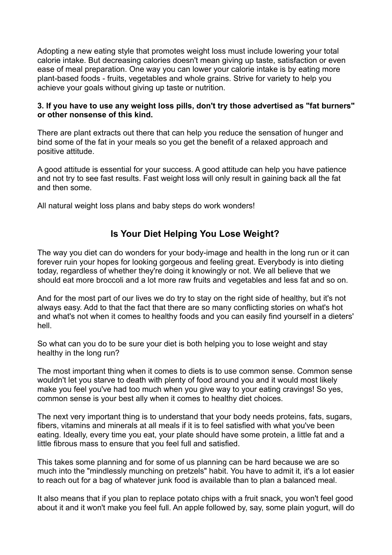Adopting a new eating style that promotes weight loss must include lowering your total calorie intake. But decreasing calories doesn't mean giving up taste, satisfaction or even ease of meal preparation. One way you can lower your calorie intake is by eating more plant-based foods - fruits, vegetables and whole grains. Strive for variety to help you achieve your goals without giving up taste or nutrition.

#### **3. If you have to use any weight loss pills, don't try those advertised as "fat burners" or other nonsense of this kind.**

There are plant extracts out there that can help you reduce the sensation of hunger and bind some of the fat in your meals so you get the benefit of a relaxed approach and positive attitude.

A good attitude is essential for your success. A good attitude can help you have patience and not try to see fast results. Fast weight loss will only result in gaining back all the fat and then some.

All natural weight loss plans and baby steps do work wonders!

## **Is Your Diet Helping You Lose Weight?**

The way you diet can do wonders for your body-image and health in the long run or it can forever ruin your hopes for looking gorgeous and feeling great. Everybody is into dieting today, regardless of whether they're doing it knowingly or not. We all believe that we should eat more broccoli and a lot more raw fruits and vegetables and less fat and so on.

And for the most part of our lives we do try to stay on the right side of healthy, but it's not always easy. Add to that the fact that there are so many conflicting stories on what's hot and what's not when it comes to healthy foods and you can easily find yourself in a dieters' hell.

So what can you do to be sure your diet is both helping you to lose weight and stay healthy in the long run?

The most important thing when it comes to diets is to use common sense. Common sense wouldn't let you starve to death with plenty of food around you and it would most likely make you feel you've had too much when you give way to your eating cravings! So yes, common sense is your best ally when it comes to healthy diet choices.

The next very important thing is to understand that your body needs proteins, fats, sugars, fibers, vitamins and minerals at all meals if it is to feel satisfied with what you've been eating. Ideally, every time you eat, your plate should have some protein, a little fat and a little fibrous mass to ensure that you feel full and satisfied.

This takes some planning and for some of us planning can be hard because we are so much into the "mindlessly munching on pretzels" habit. You have to admit it, it's a lot easier to reach out for a bag of whatever junk food is available than to plan a balanced meal.

It also means that if you plan to replace potato chips with a fruit snack, you won't feel good about it and it won't make you feel full. An apple followed by, say, some plain yogurt, will do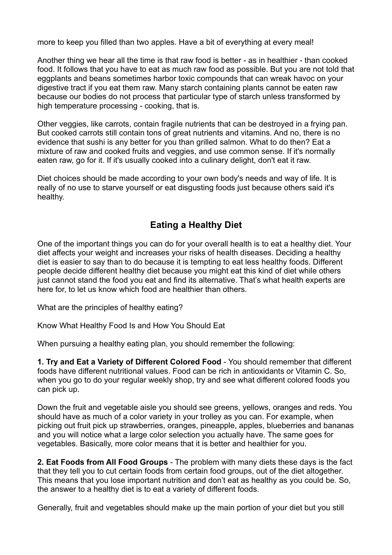more to keep you filled than two apples. Have a bit of everything at every meal!

Another thing we hear all the time is that raw food is better - as in healthier - than cooked food. It follows that you have to eat as much raw food as possible. But you are not told that eggplants and beans sometimes harbor toxic compounds that can wreak havoc on your digestive tract if you eat them raw. Many starch containing plants cannot be eaten raw because our bodies do not process that particular type of starch unless transformed by high temperature processing - cooking, that is.

Other veggies, like carrots, contain fragile nutrients that can be destroyed in a frying pan. But cooked carrots still contain tons of great nutrients and vitamins. And no, there is no evidence that sushi is any better for you than grilled salmon. What to do then? Eat a mixture of raw and cooked fruits and veggies, and use common sense. If it's normally eaten raw, go for it. If it's usually cooked into a culinary delight, don't eat it raw.

Diet choices should be made according to your own body's needs and way of life. It is really of no use to starve yourself or eat disgusting foods just because others said it's healthy.

## **Eating a Healthy Diet**

One of the important things you can do for your overall health is to eat a healthy diet. Your diet affects your weight and increases your risks of health diseases. Deciding a healthy diet is easier to say than to do because it is tempting to eat less healthy foods. Different people decide different healthy diet because you might eat this kind of diet while others just cannot stand the food you eat and find its alternative. That's what health experts are here for, to let us know which food are healthier than others.

What are the principles of healthy eating?

Know What Healthy Food Is and How You Should Eat

When pursuing a healthy eating plan, you should remember the following:

**1. Try and Eat a Variety of Different Colored Food** - You should remember that different foods have different nutritional values. Food can be rich in antioxidants or Vitamin C. So, when you go to do your regular weekly shop, try and see what different colored foods you can pick up.

Down the fruit and vegetable aisle you should see greens, yellows, oranges and reds. You should have as much of a color variety in your trolley as you can. For example, when picking out fruit pick up strawberries, oranges, pineapple, apples, blueberries and bananas and you will notice what a large color selection you actually have. The same goes for vegetables. Basically, more color means that it is better and healthier for you.

**2. Eat Foods from All Food Groups** - The problem with many diets these days is the fact that they tell you to cut certain foods from certain food groups, out of the diet altogether. This means that you lose important nutrition and don't eat as healthy as you could be. So, the answer to a healthy diet is to eat a variety of different foods.

Generally, fruit and vegetables should make up the main portion of your diet but you still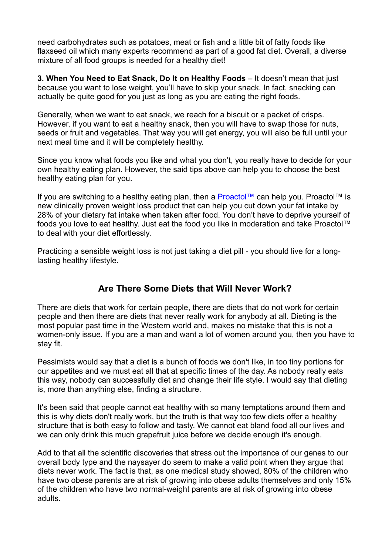need carbohydrates such as potatoes, meat or fish and a little bit of fatty foods like flaxseed oil which many experts recommend as part of a good fat diet. Overall, a diverse mixture of all food groups is needed for a healthy diet!

**3. When You Need to Eat Snack, Do It on Healthy Foods** – It doesn't mean that just because you want to lose weight, you'll have to skip your snack. In fact, snacking can actually be quite good for you just as long as you are eating the right foods.

Generally, when we want to eat snack, we reach for a biscuit or a packet of crisps. However, if you want to eat a healthy snack, then you will have to swap those for nuts, seeds or fruit and vegetables. That way you will get energy, you will also be full until your next meal time and it will be completely healthy.

Since you know what foods you like and what you don't, you really have to decide for your own healthy eating plan. However, the said tips above can help you to choose the best healthy eating plan for you.

If you are switching to a healthy eating plan, then a **[Proactol™](http://track.lativio.com/hit.php?w=107368&p=2&s=38&competition=8&campaign=vb)** can help you. Proactol™ is new clinically proven weight loss product that can help you cut down your fat intake by 28% of your dietary fat intake when taken after food. You don't have to deprive yourself of foods you love to eat healthy. Just eat the food you like in moderation and take Proactol™ to deal with your diet effortlessly.

Practicing a sensible weight loss is not just taking a diet pill - you should live for a longlasting healthy lifestyle.

## **Are There Some Diets that Will Never Work?**

There are diets that work for certain people, there are diets that do not work for certain people and then there are diets that never really work for anybody at all. Dieting is the most popular past time in the Western world and, makes no mistake that this is not a women-only issue. If you are a man and want a lot of women around you, then you have to stay fit.

Pessimists would say that a diet is a bunch of foods we don't like, in too tiny portions for our appetites and we must eat all that at specific times of the day. As nobody really eats this way, nobody can successfully diet and change their life style. I would say that dieting is, more than anything else, finding a structure.

It's been said that people cannot eat healthy with so many temptations around them and this is why diets don't really work, but the truth is that way too few diets offer a healthy structure that is both easy to follow and tasty. We cannot eat bland food all our lives and we can only drink this much grapefruit juice before we decide enough it's enough.

Add to that all the scientific discoveries that stress out the importance of our genes to our overall body type and the naysayer do seem to make a valid point when they argue that diets never work. The fact is that, as one medical study showed, 80% of the children who have two obese parents are at risk of growing into obese adults themselves and only 15% of the children who have two normal-weight parents are at risk of growing into obese adults.